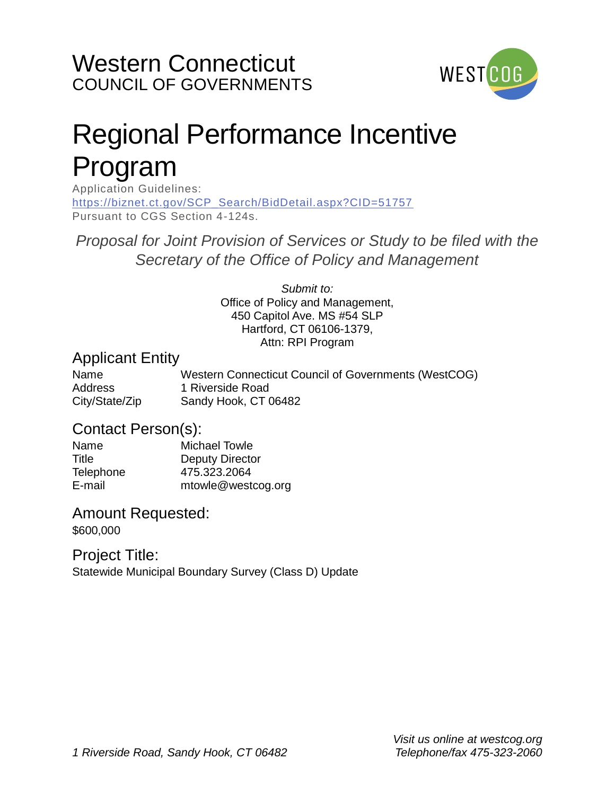

# Regional Performance Incentive Program

Application Guidelines: [https://biznet.ct.gov/SCP\\_Search/BidDetail.aspx?CID=51757](https://biznet.ct.gov/SCP_Search/BidDetail.aspx?CID=51757) Pursuant to CGS Section 4-124s.

*Proposal for Joint Provision of Services or Study to be filed with the Secretary of the Office of Policy and Management*

> *Submit to:*  Office of Policy and Management, 450 Capitol Ave. MS #54 SLP Hartford, CT 06106-1379, Attn: RPI Program

#### Applicant Entity

| Name           | Western Connecticut Council of Governments (WestCOG) |
|----------------|------------------------------------------------------|
| Address        | 1 Riverside Road                                     |
| City/State/Zip | Sandy Hook, CT 06482                                 |

#### Contact Person(s):

| Name             | <b>Michael Towle</b> |
|------------------|----------------------|
| Title            | Deputy Director      |
| <b>Telephone</b> | 475.323.2064         |
| E-mail           | mtowle@westcog.org   |

#### Amount Requested:

\$600,000

### Project Title:

Statewide Municipal Boundary Survey (Class D) Update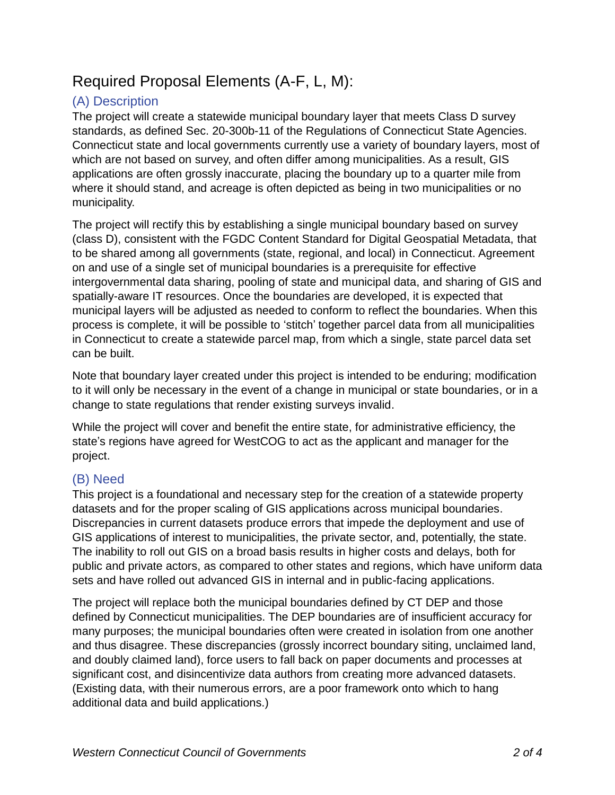## Required Proposal Elements (A-F, L, M):

#### (A) Description

The project will create a statewide municipal boundary layer that meets Class D survey standards, as defined Sec. 20-300b-11 of the Regulations of Connecticut State Agencies. Connecticut state and local governments currently use a variety of boundary layers, most of which are not based on survey, and often differ among municipalities. As a result, GIS applications are often grossly inaccurate, placing the boundary up to a quarter mile from where it should stand, and acreage is often depicted as being in two municipalities or no municipality.

The project will rectify this by establishing a single municipal boundary based on survey (class D), consistent with the FGDC Content Standard for Digital Geospatial Metadata, that to be shared among all governments (state, regional, and local) in Connecticut. Agreement on and use of a single set of municipal boundaries is a prerequisite for effective intergovernmental data sharing, pooling of state and municipal data, and sharing of GIS and spatially-aware IT resources. Once the boundaries are developed, it is expected that municipal layers will be adjusted as needed to conform to reflect the boundaries. When this process is complete, it will be possible to 'stitch' together parcel data from all municipalities in Connecticut to create a statewide parcel map, from which a single, state parcel data set can be built.

Note that boundary layer created under this project is intended to be enduring; modification to it will only be necessary in the event of a change in municipal or state boundaries, or in a change to state regulations that render existing surveys invalid.

While the project will cover and benefit the entire state, for administrative efficiency, the state's regions have agreed for WestCOG to act as the applicant and manager for the project.

#### (B) Need

This project is a foundational and necessary step for the creation of a statewide property datasets and for the proper scaling of GIS applications across municipal boundaries. Discrepancies in current datasets produce errors that impede the deployment and use of GIS applications of interest to municipalities, the private sector, and, potentially, the state. The inability to roll out GIS on a broad basis results in higher costs and delays, both for public and private actors, as compared to other states and regions, which have uniform data sets and have rolled out advanced GIS in internal and in public-facing applications.

The project will replace both the municipal boundaries defined by CT DEP and those defined by Connecticut municipalities. The DEP boundaries are of insufficient accuracy for many purposes; the municipal boundaries often were created in isolation from one another and thus disagree. These discrepancies (grossly incorrect boundary siting, unclaimed land, and doubly claimed land), force users to fall back on paper documents and processes at significant cost, and disincentivize data authors from creating more advanced datasets. (Existing data, with their numerous errors, are a poor framework onto which to hang additional data and build applications.)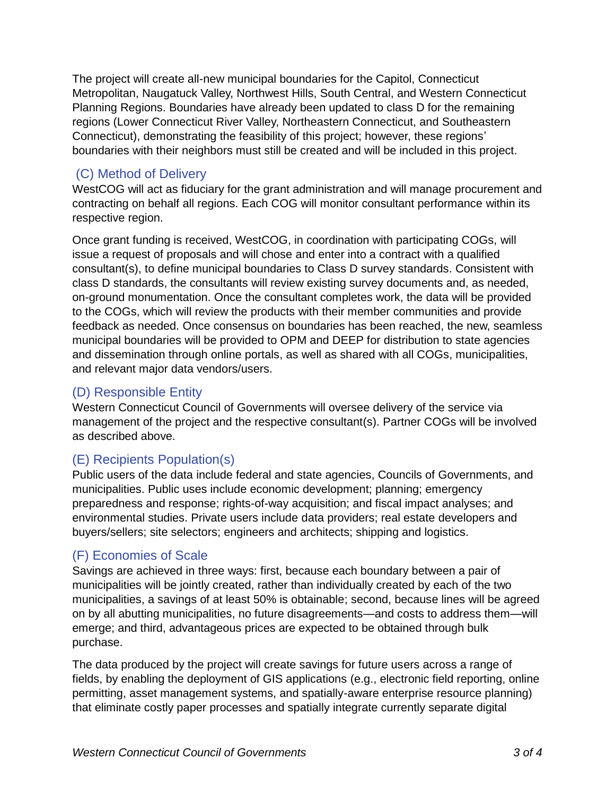The project will create all-new municipal boundaries for the Capitol, Connecticut Metropolitan, Naugatuck Valley, Northwest Hills, South Central, and Western Connecticut Planning Regions. Boundaries have already been updated to class D for the remaining regions (Lower Connecticut River Valley, Northeastern Connecticut, and Southeastern Connecticut), demonstrating the feasibility of this project; however, these regions' boundaries with their neighbors must still be created and will be included in this project.

#### (C) Method of Delivery

WestCOG will act as fiduciary for the grant administration and will manage procurement and contracting on behalf all regions. Each COG will monitor consultant performance within its respective region.

Once grant funding is received, WestCOG, in coordination with participating COGs, will issue a request of proposals and will chose and enter into a contract with a qualified consultant(s), to define municipal boundaries to Class D survey standards. Consistent with class D standards, the consultants will review existing survey documents and, as needed, on-ground monumentation. Once the consultant completes work, the data will be provided to the COGs, which will review the products with their member communities and provide feedback as needed. Once consensus on boundaries has been reached, the new, seamless municipal boundaries will be provided to OPM and DEEP for distribution to state agencies and dissemination through online portals, as well as shared with all COGs, municipalities, and relevant major data vendors/users.

#### (D) Responsible Entity

Western Connecticut Council of Governments will oversee delivery of the service via management of the project and the respective consultant(s). Partner COGs will be involved as described above.

#### (E) Recipients Population(s)

Public users of the data include federal and state agencies, Councils of Governments, and municipalities. Public uses include economic development; planning; emergency preparedness and response; rights-of-way acquisition; and fiscal impact analyses; and environmental studies. Private users include data providers; real estate developers and buyers/sellers; site selectors; engineers and architects; shipping and logistics.

#### (F) Economies of Scale

Savings are achieved in three ways: first, because each boundary between a pair of municipalities will be jointly created, rather than individually created by each of the two municipalities, a savings of at least 50% is obtainable; second, because lines will be agreed on by all abutting municipalities, no future disagreements—and costs to address them—will emerge; and third, advantageous prices are expected to be obtained through bulk purchase.

The data produced by the project will create savings for future users across a range of fields, by enabling the deployment of GIS applications (e.g., electronic field reporting, online permitting, asset management systems, and spatially-aware enterprise resource planning) that eliminate costly paper processes and spatially integrate currently separate digital